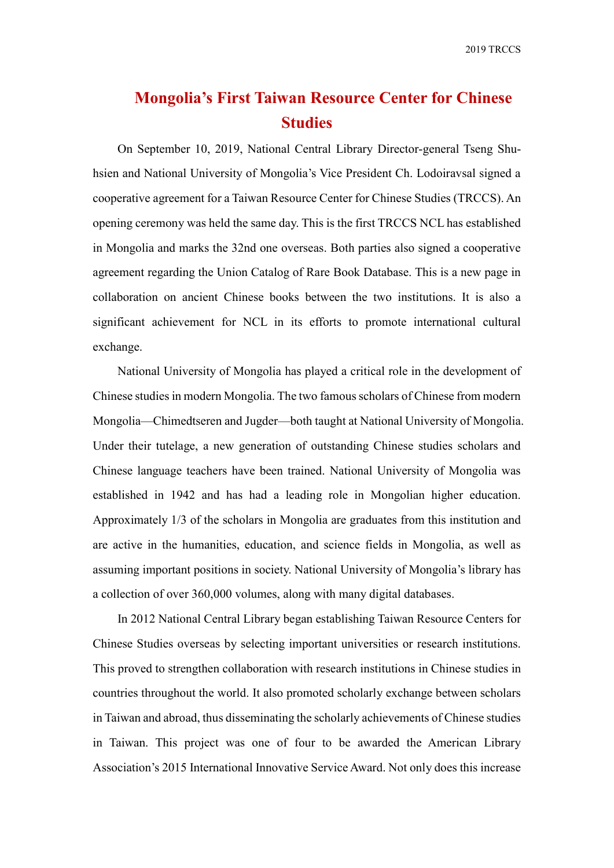## **Mongolia's First Taiwan Resource Center for Chinese Studies**

On September 10, 2019, National Central Library Director-general Tseng Shuhsien and National University of Mongolia's Vice President Ch. Lodoiravsal signed a cooperative agreement for a Taiwan Resource Center for Chinese Studies (TRCCS). An opening ceremony was held the same day. This is the first TRCCS NCL has established in Mongolia and marks the 32nd one overseas. Both parties also signed a cooperative agreement regarding the Union Catalog of Rare Book Database. This is a new page in collaboration on ancient Chinese books between the two institutions. It is also a significant achievement for NCL in its efforts to promote international cultural exchange.

National University of Mongolia has played a critical role in the development of Chinese studies in modern Mongolia. The two famous scholars of Chinese from modern Mongolia—Chimedtseren and Jugder—both taught at National University of Mongolia. Under their tutelage, a new generation of outstanding Chinese studies scholars and Chinese language teachers have been trained. National University of Mongolia was established in 1942 and has had a leading role in Mongolian higher education. Approximately 1/3 of the scholars in Mongolia are graduates from this institution and are active in the humanities, education, and science fields in Mongolia, as well as assuming important positions in society. National University of Mongolia's library has a collection of over 360,000 volumes, along with many digital databases.

In 2012 National Central Library began establishing Taiwan Resource Centers for Chinese Studies overseas by selecting important universities or research institutions. This proved to strengthen collaboration with research institutions in Chinese studies in countries throughout the world. It also promoted scholarly exchange between scholars in Taiwan and abroad, thus disseminating the scholarly achievements of Chinese studies in Taiwan. This project was one of four to be awarded the American Library Association's 2015 International Innovative Service Award. Not only does this increase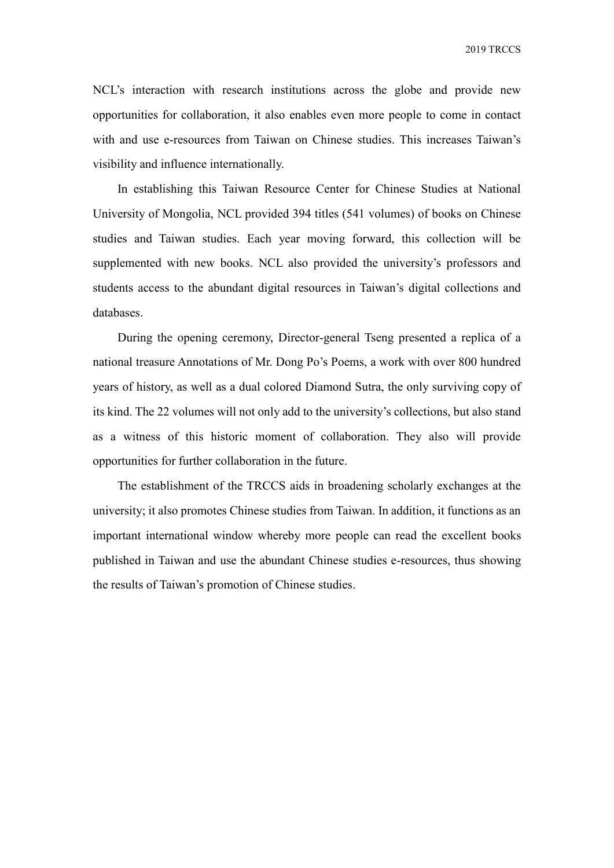2019 TRCCS

NCL's interaction with research institutions across the globe and provide new opportunities for collaboration, it also enables even more people to come in contact with and use e-resources from Taiwan on Chinese studies. This increases Taiwan's visibility and influence internationally.

In establishing this Taiwan Resource Center for Chinese Studies at National University of Mongolia, NCL provided 394 titles (541 volumes) of books on Chinese studies and Taiwan studies. Each year moving forward, this collection will be supplemented with new books. NCL also provided the university's professors and students access to the abundant digital resources in Taiwan's digital collections and databases.

During the opening ceremony, Director-general Tseng presented a replica of a national treasure Annotations of Mr. Dong Po's Poems, a work with over 800 hundred years of history, as well as a dual colored Diamond Sutra, the only surviving copy of its kind. The 22 volumes will not only add to the university's collections, but also stand as a witness of this historic moment of collaboration. They also will provide opportunities for further collaboration in the future.

The establishment of the TRCCS aids in broadening scholarly exchanges at the university; it also promotes Chinese studies from Taiwan. In addition, it functions as an important international window whereby more people can read the excellent books published in Taiwan and use the abundant Chinese studies e-resources, thus showing the results of Taiwan's promotion of Chinese studies.